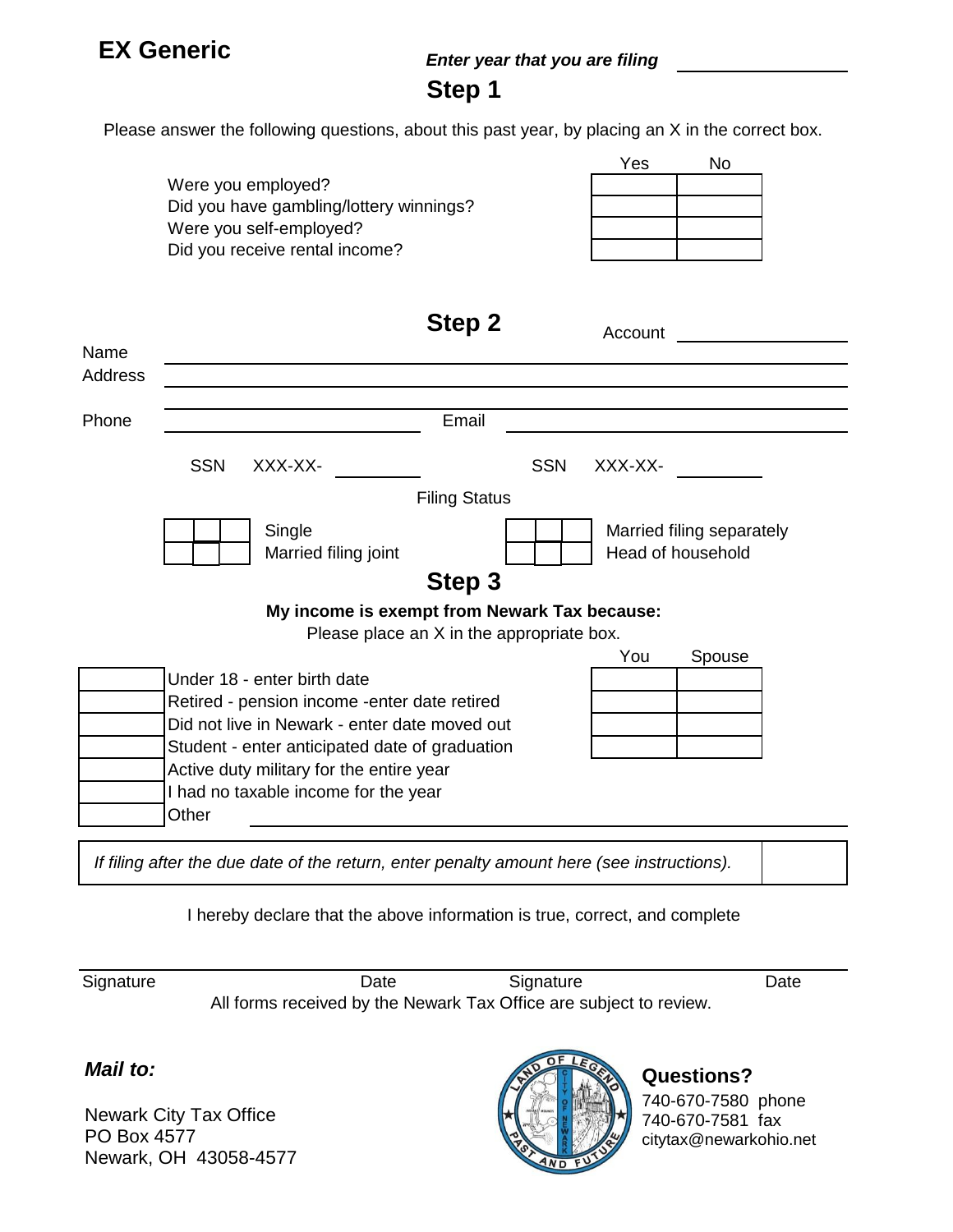### **EX Generic**

#### *Enter year that you are filing*

#### **Step 1**

Please answer the following questions, about this past year, by placing an X in the correct box.

|                                |                                         | Yes | Nο |
|--------------------------------|-----------------------------------------|-----|----|
| Were you employed?             |                                         |     |    |
|                                | Did you have gambling/lottery winnings? |     |    |
| Were you self-employed?        |                                         |     |    |
| Did you receive rental income? |                                         |     |    |
|                                |                                         |     |    |

**Stan 2** 

|         | οιςμ κ                                         |            | Account |                                                |  |  |
|---------|------------------------------------------------|------------|---------|------------------------------------------------|--|--|
| Name    |                                                |            |         |                                                |  |  |
| Address |                                                |            |         |                                                |  |  |
| Phone   | Email                                          |            |         |                                                |  |  |
|         | <b>SSN</b><br>XXX-XX-                          | <b>SSN</b> | XXX-XX- |                                                |  |  |
|         | <b>Filing Status</b>                           |            |         |                                                |  |  |
|         | Single<br>Married filing joint                 |            |         | Married filing separately<br>Head of household |  |  |
|         | Step 3                                         |            |         |                                                |  |  |
|         | My income is exempt from Newark Tax because:   |            |         |                                                |  |  |
|         | Please place an X in the appropriate box.      |            |         |                                                |  |  |
|         |                                                |            | You     | Spouse                                         |  |  |
|         | Under 18 - enter birth date                    |            |         |                                                |  |  |
|         | Retired - pension income -enter date retired   |            |         |                                                |  |  |
|         | Did not live in Newark - enter date moved out  |            |         |                                                |  |  |
|         | Student - enter anticipated date of graduation |            |         |                                                |  |  |
|         | Active duty military for the entire year       |            |         |                                                |  |  |
|         | I had no taxable income for the year           |            |         |                                                |  |  |
|         | Other                                          |            |         |                                                |  |  |

*If filing after the due date of the return, enter penalty amount here (see instructions).*

I hereby declare that the above information is true, correct, and complete

Signature Date Date Signature Date All forms received by the Newark Tax Office are subject to review.

*Mail to:*

Newark City Tax Office PO Box 4577 Newark, OH 43058-4577



### **Questions?**

740-670-7580 phone 740-670-7581 fax citytax@newarkohio.net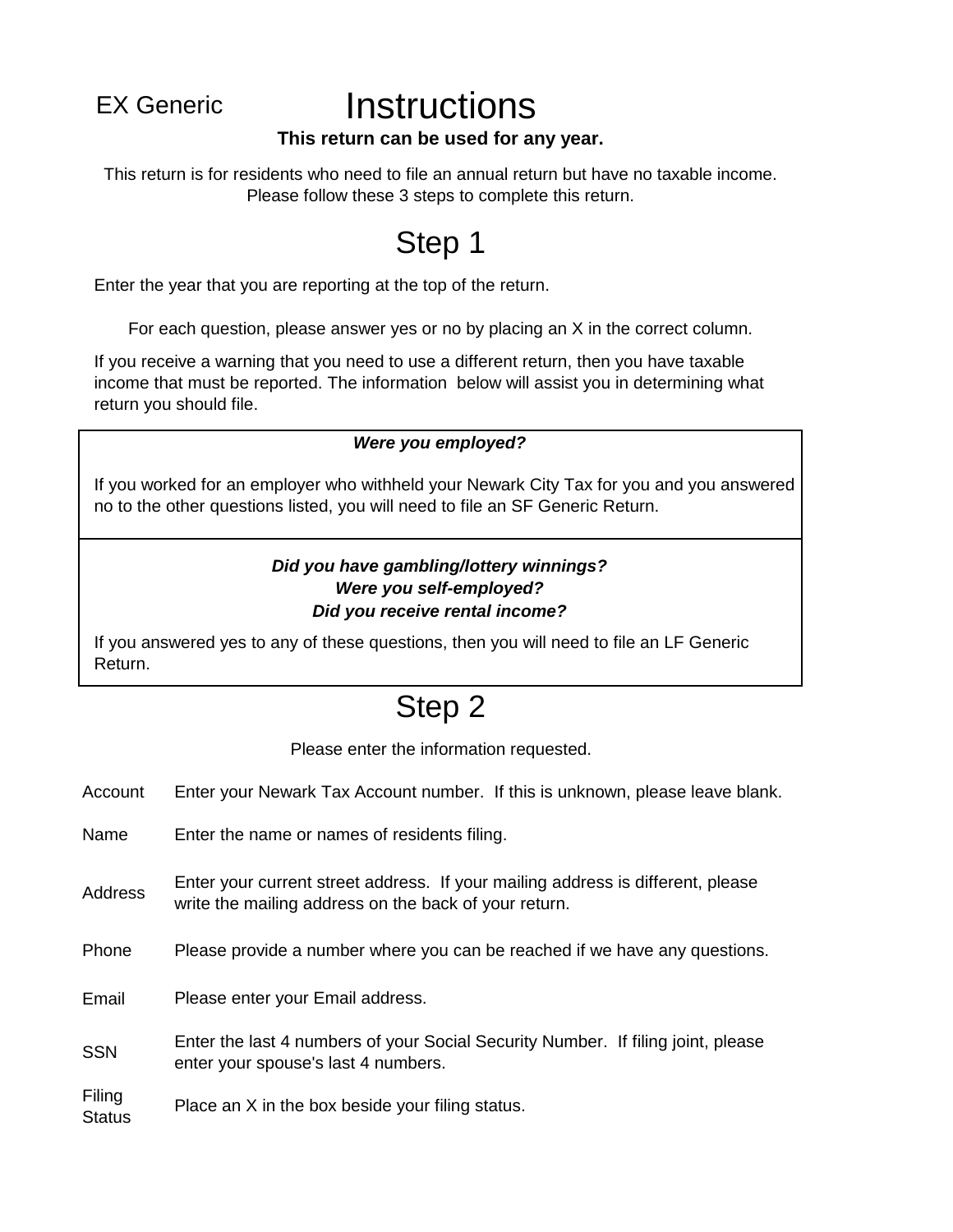## EX Generic **Instructions**

#### **This return can be used for any year.**

This return is for residents who need to file an annual return but have no taxable income. Please follow these 3 steps to complete this return.

## Step 1

Enter the year that you are reporting at the top of the return.

For each question, please answer yes or no by placing an X in the correct column.

If you receive a warning that you need to use a different return, then you have taxable income that must be reported. The information below will assist you in determining what return you should file.

#### *Were you employed?*

If you worked for an employer who withheld your Newark City Tax for you and you answered no to the other questions listed, you will need to file an SF Generic Return.

#### *Did you have gambling/lottery winnings? Were you self-employed? Did you receive rental income?*

If you answered yes to any of these questions, then you will need to file an LF Generic Return.

### Step 2

Please enter the information requested.

- Account Enter your Newark Tax Account number. If this is unknown, please leave blank.
- Name Enter the name or names of residents filing.
- Address Enter your current street address. If your mailing address is different, please write the mailing address on the back of your return.
- Phone Please provide a number where you can be reached if we have any questions.
- Email Please enter your Email address.
- Enter the last 4 numbers of your Social Security Number. If filing joint, please SSN Enter the last 4 numbers of your SOC

Filing **Status** Place an X in the box beside your filing status.